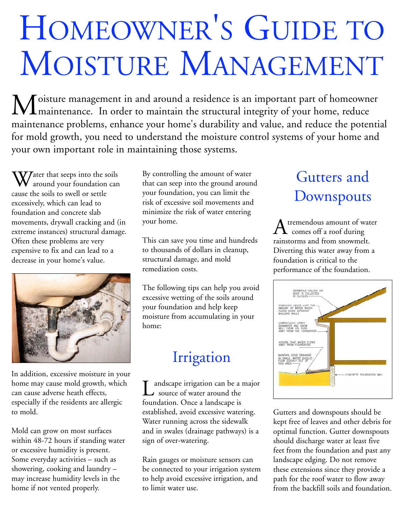# HOMEOWNER'S GUIDE TO MOISTURE MANAGEMENT

Moisture management in and around a residence is an important part of homeowner<br>Moisture management in and around a residence is an important part of homeowner maintenance problems, enhance your home's durability and value, and reduce the potential for mold growth, you need to understand the moisture control systems of your home and your own important role in maintaining those systems.

Water that seeps into the soils<br>around your foundation can cause the soils to swell or settle excessively, which can lead to foundation and concrete slab movements, drywall cracking and (in extreme instances) structural damage. Often these problems are very expensive to fix and can lead to a decrease in your home's value.



In addition, excessive moisture in your home may cause mold growth, which can cause adverse heath effects, especially if the residents are allergic to mold.

Mold can grow on most surfaces within 48-72 hours if standing water or excessive humidity is present. Some everyday activities – such as showering, cooking and laundry – may increase humidity levels in the home if not vented properly.

By controlling the amount of water that can seep into the ground around your foundation, you can limit the risk of excessive soil movements and minimize the risk of water entering your home.

This can save you time and hundreds to thousands of dollars in cleanup, structural damage, and mold remediation costs.

The following tips can help you avoid excessive wetting of the soils around your foundation and help keep moisture from accumulating in your home:

## Irrigation

 $\sum_{\text{source of water around the}}$ foundation. Once a landscape is established, avoid excessive watering. Water running across the sidewalk and in swales (drainage pathways) is a sign of over-watering.

Rain gauges or moisture sensors can be connected to your irrigation system to help avoid excessive irrigation, and to limit water use.

# Gutters and **Downspouts**

A tremendous amount of water<br>
comes off a roof during rainstorms and from snowmelt. Diverting this water away from a foundation is critical to the performance of the foundation.



Gutters and downspouts should be kept free of leaves and other debris for optimal function. Gutter downspouts should discharge water at least five feet from the foundation and past any landscape edging. Do not remove these extensions since they provide a path for the roof water to flow away from the backfill soils and foundation.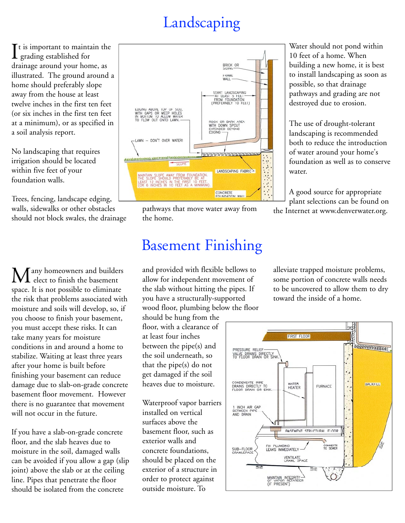# Landscaping

It is important to maint<br>grading established for  $\mathsf{T}$ t is important to maintain the drainage around your home, as illustrated. The ground around a home should preferably slope away from the house at least twelve inches in the first ten feet (or six inches in the first ten feet at a minimum), or as specified in a soil analysis report.

No landscaping that requires irrigation should be located within five feet of your foundation walls.

Trees, fencing, landscape edging, walls, sidewalks or other obstacles should not block swales, the drainage

Tany homeowners and builders  $\mathbf 1$  elect to finish the basement space. It is not possible to eliminate the risk that problems associated with moisture and soils will develop, so, if you choose to finish your basement, you must accept these risks. It can take many years for moisture conditions in and around a home to stabilize. Waiting at least three years after your home is built before finishing your basement can reduce damage due to slab-on-grade concrete basement floor movement. However there is no guarantee that movement will not occur in the future.

If you have a slab-on-grade concrete floor, and the slab heaves due to moisture in the soil, damaged walls can be avoided if you allow a gap (slip joint) above the slab or at the ceiling line. Pipes that penetrate the floor should be isolated from the concrete



pathways that move water away from the home.

#### Basement Finishing

and provided with flexible bellows to allow for independent movement of the slab without hitting the pipes. If you have a structurally-supported wood floor, plumbing below the floor

should be hung from the floor, with a clearance of at least four inches between the pipe(s) and the soil underneath, so that the pipe(s) do not get damaged if the soil heaves due to moisture.

Waterproof vapor barriers installed on vertical surfaces above the basement floor, such as exterior walls and concrete foundations, should be placed on the exterior of a structure in order to protect against outside moisture. To

Water should not pond within 10 feet of a home. When building a new home, it is best to install landscaping as soon as possible, so that drainage pathways and grading are not destroyed due to erosion.

The use of drought-tolerant landscaping is recommended both to reduce the introduction of water around your home's foundation as well as to conserve water.

A good source for appropriate plant selections can be found on the Internet at www.denverwater.org.

alleviate trapped moisture problems, some portion of concrete walls needs to be uncovered to allow them to dry toward the inside of a home.

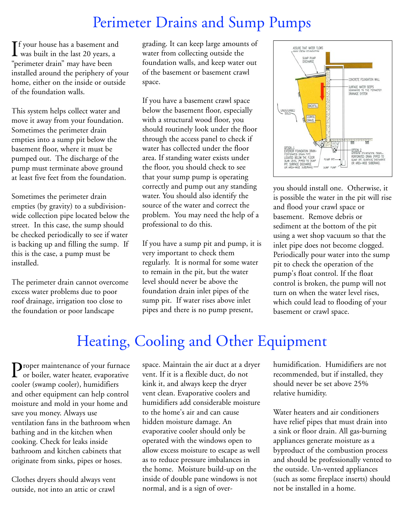#### Perimeter Drains and Sump Pumps

If your house has a basement and<br>was built in the last 20 years, a **T**f your house has a basement and "perimeter drain" may have been installed around the periphery of your home, either on the inside or outside of the foundation walls.

This system helps collect water and move it away from your foundation. Sometimes the perimeter drain empties into a sump pit below the basement floor, where it must be pumped out. The discharge of the pump must terminate above ground at least five feet from the foundation.

Sometimes the perimeter drain empties (by gravity) to a subdivisionwide collection pipe located below the street. In this case, the sump should be checked periodically to see if water is backing up and filling the sump. If this is the case, a pump must be installed.

The perimeter drain cannot overcome excess water problems due to poor roof drainage, irrigation too close to the foundation or poor landscape

grading. It can keep large amounts of water from collecting outside the foundation walls, and keep water out of the basement or basement crawl space.

If you have a basement crawl space below the basement floor, especially with a structural wood floor, you should routinely look under the floor through the access panel to check if water has collected under the floor area. If standing water exists under the floor, you should check to see that your sump pump is operating correctly and pump out any standing water. You should also identify the source of the water and correct the problem. You may need the help of a professional to do this.

If you have a sump pit and pump, it is very important to check them regularly. It is normal for some water to remain in the pit, but the water level should never be above the foundation drain inlet pipes of the sump pit. If water rises above inlet pipes and there is no pump present,



you should install one. Otherwise, it is possible the water in the pit will rise and flood your crawl space or basement. Remove debris or sediment at the bottom of the pit using a wet shop vacuum so that the inlet pipe does not become clogged. Periodically pour water into the sump pit to check the operation of the pump's float control. If the float control is broken, the pump will not turn on when the water level rises, which could lead to flooding of your basement or crawl space.

## Heating, Cooling and Other Equipment

**P**roper maintenance of your furnace<br>or boiler, water heater, evaporative cooler (swamp cooler), humidifiers and other equipment can help control moisture and mold in your home and save you money. Always use ventilation fans in the bathroom when bathing and in the kitchen when cooking. Check for leaks inside bathroom and kitchen cabinets that originate from sinks, pipes or hoses.

Clothes dryers should always vent outside, not into an attic or crawl

space. Maintain the air duct at a dryer vent. If it is a flexible duct, do not kink it, and always keep the dryer vent clean. Evaporative coolers and humidifiers add considerable moisture to the home's air and can cause hidden moisture damage. An evaporative cooler should only be operated with the windows open to allow excess moisture to escape as well as to reduce pressure imbalances in the home. Moisture build-up on the inside of double pane windows is not normal, and is a sign of over-

humidification. Humidifiers are not recommended, but if installed, they should never be set above 25% relative humidity.

Water heaters and air conditioners have relief pipes that must drain into a sink or floor drain. All gas-burning appliances generate moisture as a byproduct of the combustion process and should be professionally vented to the outside. Un-vented appliances (such as some fireplace inserts) should not be installed in a home.